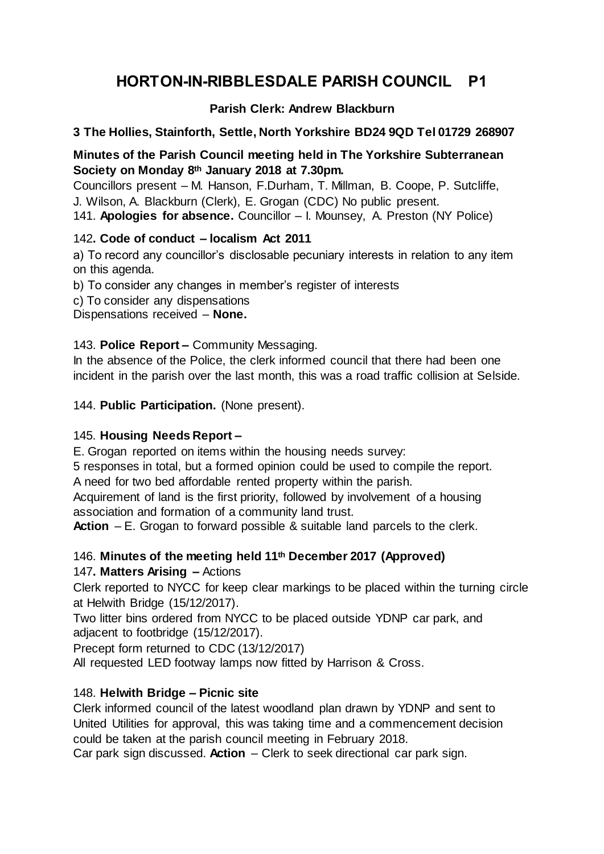# **HORTON-IN-RIBBLESDALE PARISH COUNCIL P1**

# **Parish Clerk: Andrew Blackburn**

## **3 The Hollies, Stainforth, Settle, North Yorkshire BD24 9QD Tel 01729 268907**

## **Minutes of the Parish Council meeting held in The Yorkshire Subterranean Society on Monday 8th January 2018 at 7.30pm.**

Councillors present – M. Hanson, F.Durham, T. Millman, B. Coope, P. Sutcliffe, J. Wilson, A. Blackburn (Clerk), E. Grogan (CDC) No public present.

141. **Apologies for absence.** Councillor – I. Mounsey, A. Preston (NY Police)

## 142**. Code of conduct – localism Act 2011**

a) To record any councillor's disclosable pecuniary interests in relation to any item on this agenda.

b) To consider any changes in member's register of interests

c) To consider any dispensations

Dispensations received – **None.**

# 143. **Police Report –** Community Messaging.

In the absence of the Police, the clerk informed council that there had been one incident in the parish over the last month, this was a road traffic collision at Selside.

144. **Public Participation.** (None present).

# 145. **Housing Needs Report –**

E. Grogan reported on items within the housing needs survey:

5 responses in total, but a formed opinion could be used to compile the report. A need for two bed affordable rented property within the parish.

Acquirement of land is the first priority, followed by involvement of a housing association and formation of a community land trust.

**Action** – E. Grogan to forward possible & suitable land parcels to the clerk.

# 146. **Minutes of the meeting held 11th December 2017 (Approved)**

# 147**. Matters Arising –** Actions

Clerk reported to NYCC for keep clear markings to be placed within the turning circle at Helwith Bridge (15/12/2017).

Two litter bins ordered from NYCC to be placed outside YDNP car park, and adjacent to footbridge (15/12/2017).

Precept form returned to CDC (13/12/2017)

All requested LED footway lamps now fitted by Harrison & Cross.

# 148. **Helwith Bridge – Picnic site**

Clerk informed council of the latest woodland plan drawn by YDNP and sent to United Utilities for approval, this was taking time and a commencement decision could be taken at the parish council meeting in February 2018.

Car park sign discussed. **Action** – Clerk to seek directional car park sign.